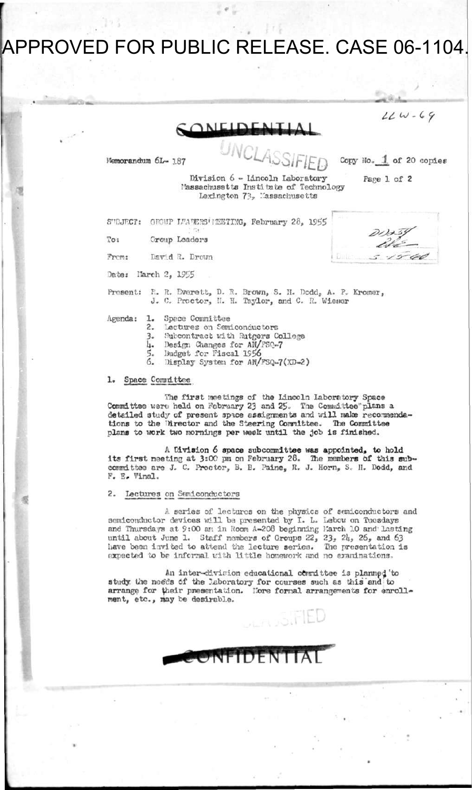## APPROVED FOR PUBLIC RELEASE. CASE 06-1104.

/ / *UJ - C f>*  **ONLIDE** Memorandum 6L- x87 **UNc^mEQ**  Copy No. 1 of 20 copies Division *b* - Lincoln Laboratory Page 1 of 2 Massachusetts Institute of Technology Lexington 73, Massachusetts S"DJKCT: OHOuT K»A!15HS\*HHSTraa<sup>f</sup> February 28, *\95\$* 

**-**

To: Group Leaders

Frcm: David ft. Brown

Date: Narch 2, 1955

Prosents R. H. Everett, D. R. Brown, S. II. Dcddj A. P» Kromer, J. 0. Proctor, II. H. Taylor, and C. R. Wiener

Agenda: 1. Spece Committee<br>2. Lectures on Sem

- 2. Lectures on Semiconductors<br>3. Subcontract with Rutgers C
- 3. Subcontract with Rutgers College<br>4. Design Changes for AN/FSQ-7
- 4. Design Changes for AN/FSQ-7<br>5. Budget for Fiscal 1956
- 5. Budget for Fiscal 1956<br>6. Bisplay System for AN/
- Display System for AN/FSQ-7(XD-2)

1. Space Committee

The first meetings cf the Lincoln laboratory Space Committee ware held on February 23 and 25. The Committee plans a detailed study of present spice assignments and will make recommendations to the Director and the Steering Committee. The Committee plans to work two mornings per week until the job is finished.

A Division 6 space subcommittee was appointed, to hold its first meeting at 3:00 pm on February 28. The members of this subcommittee are J. C. Proctor, B. B. Paine, R. J. Horn, S.. II. Dodd, and F. E. Vinal.

#### 2. Lectures cm Saniconductors

A series of lectures on the physics of semiconductors and semiconductor devices will be presented by I. L. Lebow on Tuesdays and Thursdays at 9:00 am in Room A-208 beginning March 10 and Lasting until about June 1. Staff members of Groups 22, until about June 1. Staff members of Groups 22, 23, 24, 26, and 63<br>have been invited to attend the le**c**ture series. The presentation is expected to be informal with little homework and no examinations. The presentation is

An inter-division educational committee is planned 'to study the noeds of the laboratory for courses such as this and to arrange for their presentation. Nore formal arrangements for enrollment, etc. , nay be desirable.